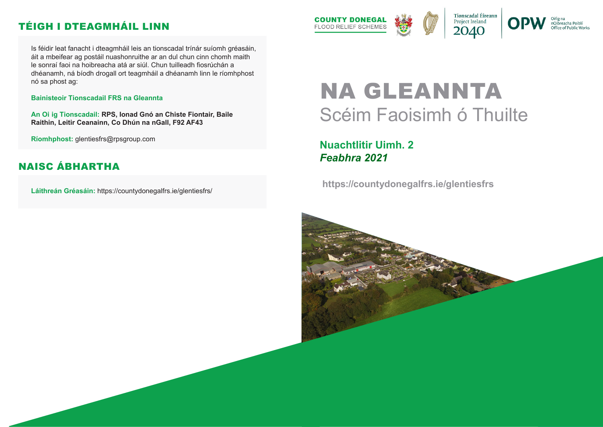# NA GLEANNTA Scéim Faoisimh ó Thuilte

# **Nuachtlitir Uimh. 2** *Feabhra 2021*

 **https://countydonegalfrs.ie/glentiesfrs**





nOibreacha Poiblí Office of Public Works

Is féidir leat fanacht i dteagmháil leis an tionscadal trínár suíomh gréasáin, áit a mbeifear ag postáil nuashonruithe ar an dul chun cinn chomh maith le sonraí faoi na hoibreacha atá ar siúl. Chun tuilleadh fiosrúchán a dhéanamh, ná bíodh drogall ort teagmháil a dhéanamh linn le ríomhphost nó sa phost ag:

#### **Bainisteoir Tionscadail FRS na Gleannta**

**An Oi ig Tionscadail: RPS, Ionad Gnó an Chiste Fiontair, Baile Raithin, Leitir Ceanainn, Co Dhún na nGall, F92 AF43**

**Ríomhphost:** glentiesfrs@rpsgroup.com

**Láithreán Gréasáin:** https://countydonegalfrs.ie/glentiesfrs/



# TÉIGH I DTEAGMHÁIL LINN

### NAISC ÁBHARTHA